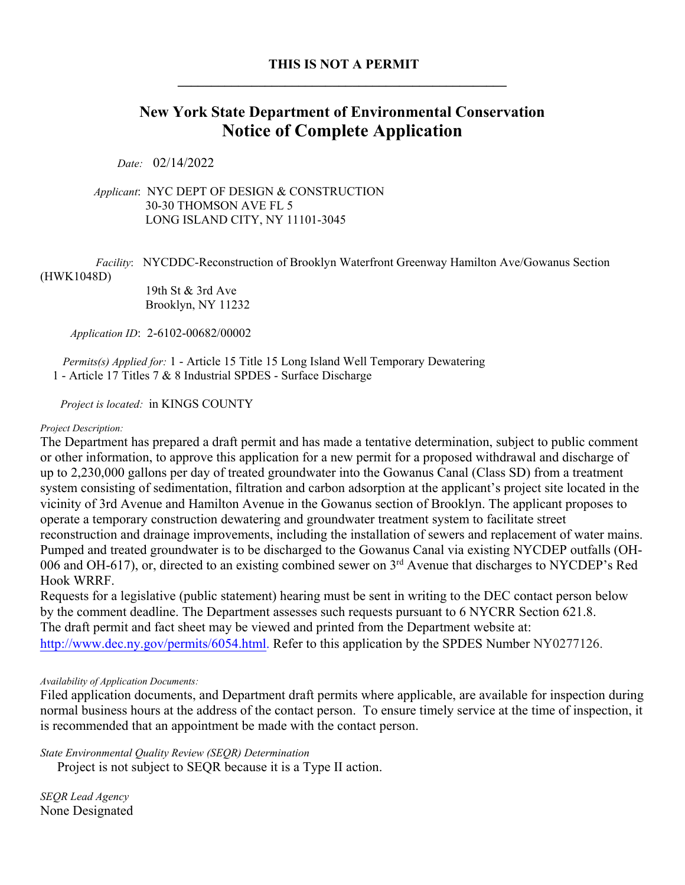# **New York State Department of Environmental Conservation Notice of Complete Application**

*Date:* 02/14/2022

 *Applicant*: NYC DEPT OF DESIGN & CONSTRUCTION 30-30 THOMSON AVE FL 5 LONG ISLAND CITY, NY 11101-3045

 *Facility*:NYCDDC-Reconstruction of Brooklyn Waterfront Greenway Hamilton Ave/Gowanus Section (HWK1048D)

> 19th St & 3rd Ave Brooklyn, NY 11232

*Application ID*: 2-6102-00682/00002

 *Permits(s) Applied for:* 1 - Article 15 Title 15 Long Island Well Temporary Dewatering 1 - Article 17 Titles 7 & 8 Industrial SPDES - Surface Discharge

*Project is located:* in KINGS COUNTY

#### *Project Description:*

The Department has prepared a draft permit and has made a tentative determination, subject to public comment or other information, to approve this application for a new permit for a proposed withdrawal and discharge of up to 2,230,000 gallons per day of treated groundwater into the Gowanus Canal (Class SD) from a treatment system consisting of sedimentation, filtration and carbon adsorption at the applicant's project site located in the vicinity of 3rd Avenue and Hamilton Avenue in the Gowanus section of Brooklyn. The applicant proposes to operate a temporary construction dewatering and groundwater treatment system to facilitate street reconstruction and drainage improvements, including the installation of sewers and replacement of water mains. Pumped and treated groundwater is to be discharged to the Gowanus Canal via existing NYCDEP outfalls (OH-006 and OH-617), or, directed to an existing combined sewer on 3<sup>rd</sup> Avenue that discharges to NYCDEP's Red Hook WRRF.

Requests for a legislative (public statement) hearing must be sent in writing to the DEC contact person below by the comment deadline. The Department assesses such requests pursuant to 6 NYCRR Section 621.8. The draft permit and fact sheet may be viewed and printed from the Department website at: http://www.dec.ny.gov/permits/6054.html. Refer to this application by the SPDES Number NY0277126.

# *Availability of Application Documents:*

Filed application documents, and Department draft permits where applicable, are available for inspection during normal business hours at the address of the contact person. To ensure timely service at the time of inspection, it is recommended that an appointment be made with the contact person.

*State Environmental Quality Review (SEQR) Determination*

Project is not subject to SEQR because it is a Type II action.

*SEQR Lead Agency* None Designated